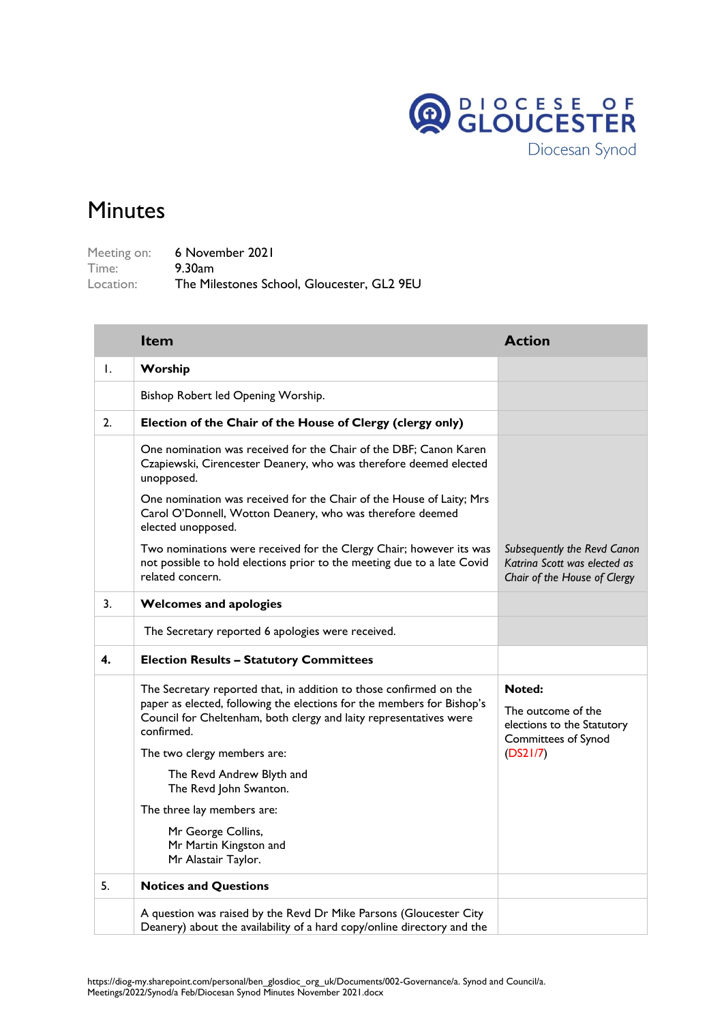

## Minutes

Meeting on: 6 November 2021 Time: 9.30am Location: The Milestones School, Gloucester, GL2 9EU

|    | <b>Item</b>                                                                                                                                                                                                                      | <b>Action</b>                                                                               |
|----|----------------------------------------------------------------------------------------------------------------------------------------------------------------------------------------------------------------------------------|---------------------------------------------------------------------------------------------|
| Ι. | Worship                                                                                                                                                                                                                          |                                                                                             |
|    | Bishop Robert led Opening Worship.                                                                                                                                                                                               |                                                                                             |
| 2. | Election of the Chair of the House of Clergy (clergy only)                                                                                                                                                                       |                                                                                             |
|    | One nomination was received for the Chair of the DBF; Canon Karen<br>Czapiewski, Cirencester Deanery, who was therefore deemed elected<br>unopposed.                                                                             |                                                                                             |
|    | One nomination was received for the Chair of the House of Laity; Mrs<br>Carol O'Donnell, Wotton Deanery, who was therefore deemed<br>elected unopposed.                                                                          |                                                                                             |
|    | Two nominations were received for the Clergy Chair; however its was<br>not possible to hold elections prior to the meeting due to a late Covid<br>related concern.                                                               | Subsequently the Revd Canon<br>Katrina Scott was elected as<br>Chair of the House of Clergy |
| 3. | <b>Welcomes and apologies</b>                                                                                                                                                                                                    |                                                                                             |
|    | The Secretary reported 6 apologies were received.                                                                                                                                                                                |                                                                                             |
| 4. | <b>Election Results - Statutory Committees</b>                                                                                                                                                                                   |                                                                                             |
|    | The Secretary reported that, in addition to those confirmed on the<br>paper as elected, following the elections for the members for Bishop's<br>Council for Cheltenham, both clergy and laity representatives were<br>confirmed. | <b>Noted:</b><br>The outcome of the<br>elections to the Statutory<br>Committees of Synod    |
|    | The two clergy members are:                                                                                                                                                                                                      | (DS21/7)                                                                                    |
|    | The Revd Andrew Blyth and<br>The Revd John Swanton.                                                                                                                                                                              |                                                                                             |
|    | The three lay members are:                                                                                                                                                                                                       |                                                                                             |
|    | Mr George Collins,<br>Mr Martin Kingston and<br>Mr Alastair Taylor.                                                                                                                                                              |                                                                                             |
| 5. | <b>Notices and Questions</b>                                                                                                                                                                                                     |                                                                                             |
|    | A question was raised by the Revd Dr Mike Parsons (Gloucester City<br>Deanery) about the availability of a hard copy/online directory and the                                                                                    |                                                                                             |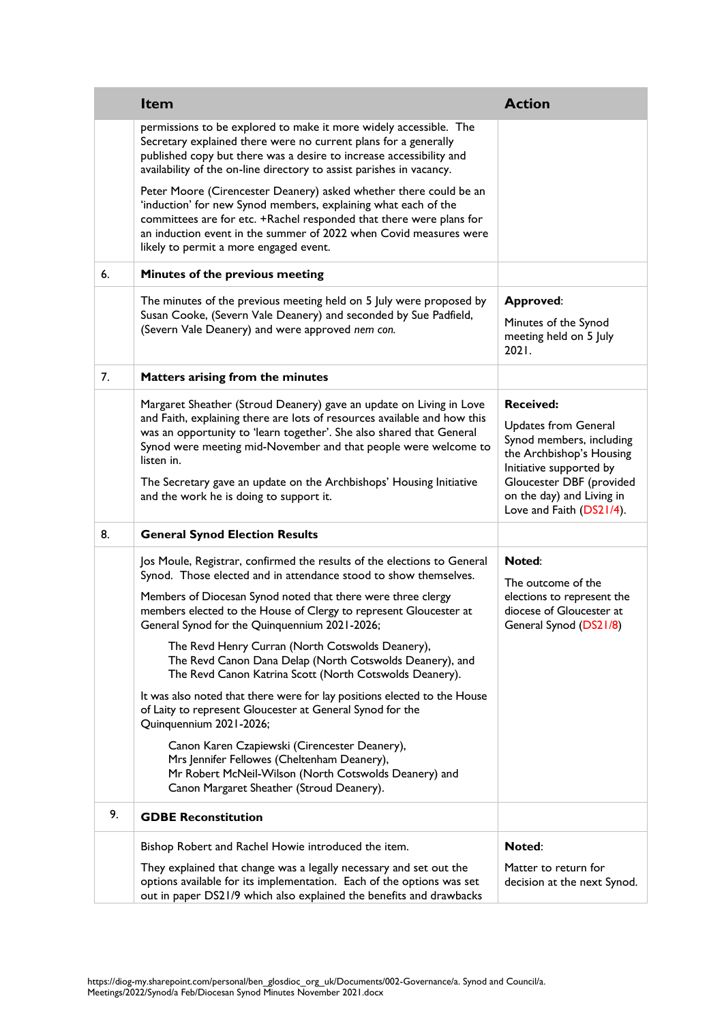|    | <b>Item</b>                                                                                                                                                                                                                                                                                                                                                                                                                                                                                                                                                                                                                                                                                                                                                                                                                                                                            | <b>Action</b>                                                                                                                                                                                                           |
|----|----------------------------------------------------------------------------------------------------------------------------------------------------------------------------------------------------------------------------------------------------------------------------------------------------------------------------------------------------------------------------------------------------------------------------------------------------------------------------------------------------------------------------------------------------------------------------------------------------------------------------------------------------------------------------------------------------------------------------------------------------------------------------------------------------------------------------------------------------------------------------------------|-------------------------------------------------------------------------------------------------------------------------------------------------------------------------------------------------------------------------|
|    | permissions to be explored to make it more widely accessible. The<br>Secretary explained there were no current plans for a generally<br>published copy but there was a desire to increase accessibility and<br>availability of the on-line directory to assist parishes in vacancy.                                                                                                                                                                                                                                                                                                                                                                                                                                                                                                                                                                                                    |                                                                                                                                                                                                                         |
|    | Peter Moore (Cirencester Deanery) asked whether there could be an<br>'induction' for new Synod members, explaining what each of the<br>committees are for etc. +Rachel responded that there were plans for<br>an induction event in the summer of 2022 when Covid measures were<br>likely to permit a more engaged event.                                                                                                                                                                                                                                                                                                                                                                                                                                                                                                                                                              |                                                                                                                                                                                                                         |
| 6. | Minutes of the previous meeting                                                                                                                                                                                                                                                                                                                                                                                                                                                                                                                                                                                                                                                                                                                                                                                                                                                        |                                                                                                                                                                                                                         |
|    | The minutes of the previous meeting held on 5 July were proposed by<br>Susan Cooke, (Severn Vale Deanery) and seconded by Sue Padfield,<br>(Severn Vale Deanery) and were approved nem con.                                                                                                                                                                                                                                                                                                                                                                                                                                                                                                                                                                                                                                                                                            | <b>Approved:</b><br>Minutes of the Synod<br>meeting held on 5 July<br>2021.                                                                                                                                             |
| 7. | Matters arising from the minutes                                                                                                                                                                                                                                                                                                                                                                                                                                                                                                                                                                                                                                                                                                                                                                                                                                                       |                                                                                                                                                                                                                         |
|    | Margaret Sheather (Stroud Deanery) gave an update on Living in Love<br>and Faith, explaining there are lots of resources available and how this<br>was an opportunity to 'learn together'. She also shared that General<br>Synod were meeting mid-November and that people were welcome to<br>listen in.<br>The Secretary gave an update on the Archbishops' Housing Initiative<br>and the work he is doing to support it.                                                                                                                                                                                                                                                                                                                                                                                                                                                             | <b>Received:</b><br><b>Updates from General</b><br>Synod members, including<br>the Archbishop's Housing<br>Initiative supported by<br>Gloucester DBF (provided<br>on the day) and Living in<br>Love and Faith (DS21/4). |
| 8. | <b>General Synod Election Results</b>                                                                                                                                                                                                                                                                                                                                                                                                                                                                                                                                                                                                                                                                                                                                                                                                                                                  |                                                                                                                                                                                                                         |
|    | Jos Moule, Registrar, confirmed the results of the elections to General<br>Synod. Those elected and in attendance stood to show themselves.<br>Members of Diocesan Synod noted that there were three clergy<br>members elected to the House of Clergy to represent Gloucester at<br>General Synod for the Quinquennium 2021-2026;<br>The Revd Henry Curran (North Cotswolds Deanery),<br>The Revd Canon Dana Delap (North Cotswolds Deanery), and<br>The Revd Canon Katrina Scott (North Cotswolds Deanery).<br>It was also noted that there were for lay positions elected to the House<br>of Laity to represent Gloucester at General Synod for the<br>Quinquennium 2021-2026;<br>Canon Karen Czapiewski (Cirencester Deanery),<br>Mrs Jennifer Fellowes (Cheltenham Deanery),<br>Mr Robert McNeil-Wilson (North Cotswolds Deanery) and<br>Canon Margaret Sheather (Stroud Deanery). | Noted:<br>The outcome of the<br>elections to represent the<br>diocese of Gloucester at<br>General Synod (DS21/8)                                                                                                        |
| 9. | <b>GDBE Reconstitution</b>                                                                                                                                                                                                                                                                                                                                                                                                                                                                                                                                                                                                                                                                                                                                                                                                                                                             |                                                                                                                                                                                                                         |
|    | Bishop Robert and Rachel Howie introduced the item.                                                                                                                                                                                                                                                                                                                                                                                                                                                                                                                                                                                                                                                                                                                                                                                                                                    | Noted:                                                                                                                                                                                                                  |
|    | They explained that change was a legally necessary and set out the<br>options available for its implementation. Each of the options was set<br>out in paper DS21/9 which also explained the benefits and drawbacks                                                                                                                                                                                                                                                                                                                                                                                                                                                                                                                                                                                                                                                                     | Matter to return for<br>decision at the next Synod.                                                                                                                                                                     |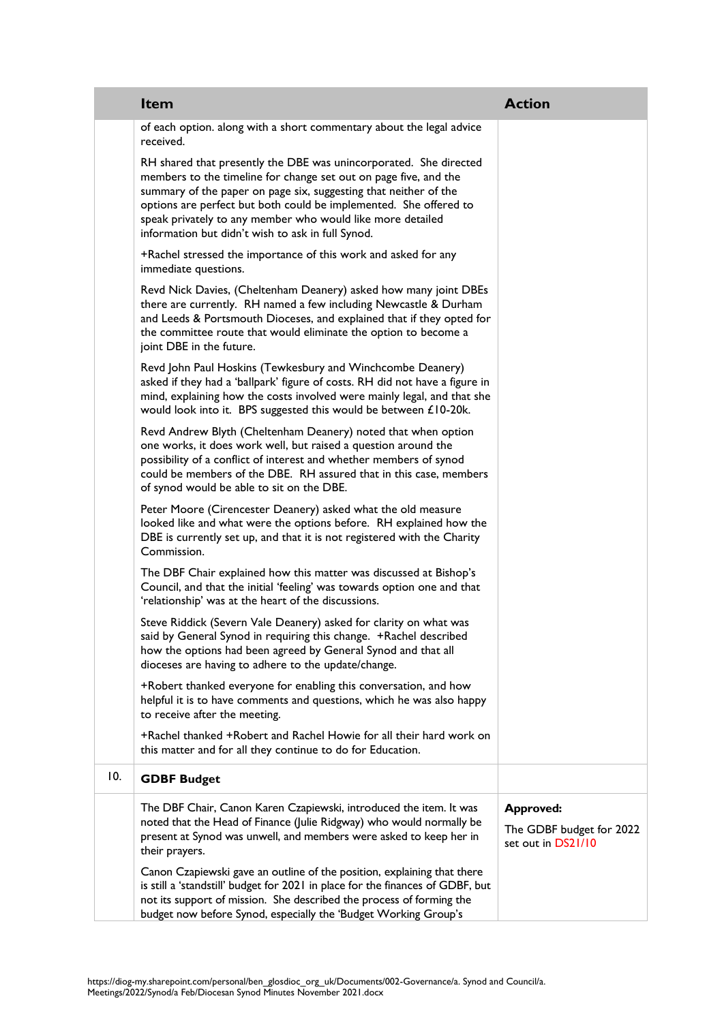|     | <b>Item</b>                                                                                                                                                                                                                                                                                                                                                                                       | <b>Action</b>                                                      |
|-----|---------------------------------------------------------------------------------------------------------------------------------------------------------------------------------------------------------------------------------------------------------------------------------------------------------------------------------------------------------------------------------------------------|--------------------------------------------------------------------|
|     | of each option. along with a short commentary about the legal advice<br>received.                                                                                                                                                                                                                                                                                                                 |                                                                    |
|     | RH shared that presently the DBE was unincorporated. She directed<br>members to the timeline for change set out on page five, and the<br>summary of the paper on page six, suggesting that neither of the<br>options are perfect but both could be implemented. She offered to<br>speak privately to any member who would like more detailed<br>information but didn't wish to ask in full Synod. |                                                                    |
|     | +Rachel stressed the importance of this work and asked for any<br>immediate questions.                                                                                                                                                                                                                                                                                                            |                                                                    |
|     | Revd Nick Davies, (Cheltenham Deanery) asked how many joint DBEs<br>there are currently. RH named a few including Newcastle & Durham<br>and Leeds & Portsmouth Dioceses, and explained that if they opted for<br>the committee route that would eliminate the option to become a<br>joint DBE in the future.                                                                                      |                                                                    |
|     | Revd John Paul Hoskins (Tewkesbury and Winchcombe Deanery)<br>asked if they had a 'ballpark' figure of costs. RH did not have a figure in<br>mind, explaining how the costs involved were mainly legal, and that she<br>would look into it. BPS suggested this would be between £10-20k.                                                                                                          |                                                                    |
|     | Revd Andrew Blyth (Cheltenham Deanery) noted that when option<br>one works, it does work well, but raised a question around the<br>possibility of a conflict of interest and whether members of synod<br>could be members of the DBE. RH assured that in this case, members<br>of synod would be able to sit on the DBE.                                                                          |                                                                    |
|     | Peter Moore (Cirencester Deanery) asked what the old measure<br>looked like and what were the options before. RH explained how the<br>DBE is currently set up, and that it is not registered with the Charity<br>Commission.                                                                                                                                                                      |                                                                    |
|     | The DBF Chair explained how this matter was discussed at Bishop's<br>Council, and that the initial 'feeling' was towards option one and that<br>'relationship' was at the heart of the discussions.                                                                                                                                                                                               |                                                                    |
|     | Steve Riddick (Severn Vale Deanery) asked for clarity on what was<br>said by General Synod in requiring this change. +Rachel described<br>how the options had been agreed by General Synod and that all<br>dioceses are having to adhere to the update/change.                                                                                                                                    |                                                                    |
|     | +Robert thanked everyone for enabling this conversation, and how<br>helpful it is to have comments and questions, which he was also happy<br>to receive after the meeting.                                                                                                                                                                                                                        |                                                                    |
|     | +Rachel thanked +Robert and Rachel Howie for all their hard work on<br>this matter and for all they continue to do for Education.                                                                                                                                                                                                                                                                 |                                                                    |
| 10. | <b>GDBF Budget</b>                                                                                                                                                                                                                                                                                                                                                                                |                                                                    |
|     | The DBF Chair, Canon Karen Czapiewski, introduced the item. It was<br>noted that the Head of Finance (Julie Ridgway) who would normally be<br>present at Synod was unwell, and members were asked to keep her in<br>their prayers.                                                                                                                                                                | <b>Approved:</b><br>The GDBF budget for 2022<br>set out in DS21/10 |
|     | Canon Czapiewski gave an outline of the position, explaining that there<br>is still a 'standstill' budget for 2021 in place for the finances of GDBF, but<br>not its support of mission. She described the process of forming the<br>budget now before Synod, especially the 'Budget Working Group's                                                                                              |                                                                    |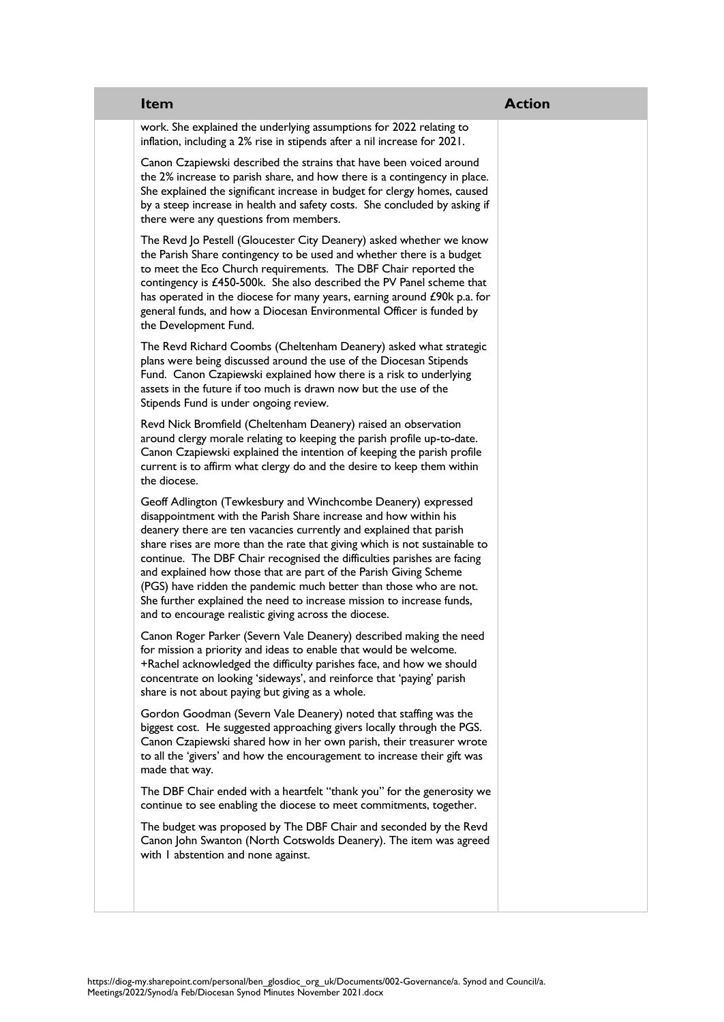| <b>Item</b>                                                                                                                                                                                                                                                                                                                                                                                                                                                                                                                                                                                                                                    | <b>Action</b> |
|------------------------------------------------------------------------------------------------------------------------------------------------------------------------------------------------------------------------------------------------------------------------------------------------------------------------------------------------------------------------------------------------------------------------------------------------------------------------------------------------------------------------------------------------------------------------------------------------------------------------------------------------|---------------|
| work. She explained the underlying assumptions for 2022 relating to<br>inflation, including a 2% rise in stipends after a nil increase for 2021.                                                                                                                                                                                                                                                                                                                                                                                                                                                                                               |               |
| Canon Czapiewski described the strains that have been voiced around<br>the 2% increase to parish share, and how there is a contingency in place.<br>She explained the significant increase in budget for clergy homes, caused<br>by a steep increase in health and safety costs. She concluded by asking if<br>there were any questions from members.                                                                                                                                                                                                                                                                                          |               |
| The Revd Jo Pestell (Gloucester City Deanery) asked whether we know<br>the Parish Share contingency to be used and whether there is a budget<br>to meet the Eco Church requirements. The DBF Chair reported the<br>contingency is £450-500k. She also described the PV Panel scheme that<br>has operated in the diocese for many years, earning around £90k p.a. for<br>general funds, and how a Diocesan Environmental Officer is funded by<br>the Development Fund.                                                                                                                                                                          |               |
| The Revd Richard Coombs (Cheltenham Deanery) asked what strategic<br>plans were being discussed around the use of the Diocesan Stipends<br>Fund. Canon Czapiewski explained how there is a risk to underlying<br>assets in the future if too much is drawn now but the use of the<br>Stipends Fund is under ongoing review.                                                                                                                                                                                                                                                                                                                    |               |
| Revd Nick Bromfield (Cheltenham Deanery) raised an observation<br>around clergy morale relating to keeping the parish profile up-to-date.<br>Canon Czapiewski explained the intention of keeping the parish profile<br>current is to affirm what clergy do and the desire to keep them within<br>the diocese.                                                                                                                                                                                                                                                                                                                                  |               |
| Geoff Adlington (Tewkesbury and Winchcombe Deanery) expressed<br>disappointment with the Parish Share increase and how within his<br>deanery there are ten vacancies currently and explained that parish<br>share rises are more than the rate that giving which is not sustainable to<br>continue. The DBF Chair recognised the difficulties parishes are facing<br>and explained how those that are part of the Parish Giving Scheme<br>(PGS) have ridden the pandemic much better than those who are not.<br>She further explained the need to increase mission to increase funds,<br>and to encourage realistic giving across the diocese. |               |
| Canon Roger Parker (Severn Vale Deanery) described making the need<br>for mission a priority and ideas to enable that would be welcome.<br>+Rachel acknowledged the difficulty parishes face, and how we should<br>concentrate on looking 'sideways', and reinforce that 'paying' parish<br>share is not about paying but giving as a whole.                                                                                                                                                                                                                                                                                                   |               |
| Gordon Goodman (Severn Vale Deanery) noted that staffing was the<br>biggest cost. He suggested approaching givers locally through the PGS.<br>Canon Czapiewski shared how in her own parish, their treasurer wrote<br>to all the 'givers' and how the encouragement to increase their gift was<br>made that way.                                                                                                                                                                                                                                                                                                                               |               |
| The DBF Chair ended with a heartfelt "thank you" for the generosity we<br>continue to see enabling the diocese to meet commitments, together.                                                                                                                                                                                                                                                                                                                                                                                                                                                                                                  |               |
| The budget was proposed by The DBF Chair and seconded by the Revd<br>Canon John Swanton (North Cotswolds Deanery). The item was agreed<br>with I abstention and none against.                                                                                                                                                                                                                                                                                                                                                                                                                                                                  |               |
|                                                                                                                                                                                                                                                                                                                                                                                                                                                                                                                                                                                                                                                |               |